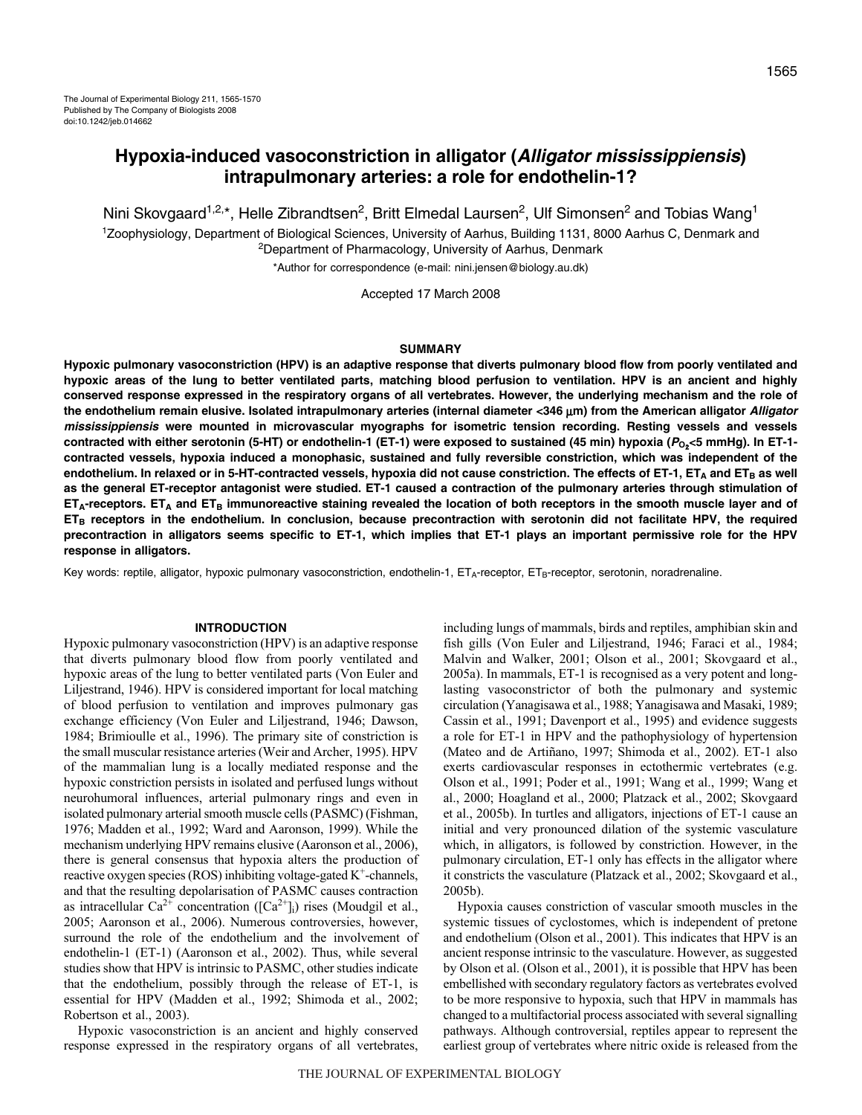# **Hypoxia-induced vasoconstriction in alligator (Alligator mississippiensis) intrapulmonary arteries: a role for endothelin-1?**

Nini Skovgaard<sup>1,2,\*</sup>, Helle Zibrandtsen<sup>2</sup>, Britt Elmedal Laursen<sup>2</sup>, Ulf Simonsen<sup>2</sup> and Tobias Wang<sup>1</sup>

1Zoophysiology, Department of Biological Sciences, University of Aarhus, Building 1131, 8000 Aarhus C, Denmark and <sup>2</sup>Department of Pharmacology, University of Aarhus, Denmark

\*Author for correspondence (e-mail: nini.jensen@biology.au.dk)

Accepted 17 March 2008

## **SUMMARY**

**Hypoxic pulmonary vasoconstriction (HPV) is an adaptive response that diverts pulmonary blood flow from poorly ventilated and hypoxic areas of the lung to better ventilated parts, matching blood perfusion to ventilation. HPV is an ancient and highly conserved response expressed in the respiratory organs of all vertebrates. However, the underlying mechanism and the role of the endothelium remain elusive. Isolated intrapulmonary arteries (internal diameter <346·**μ**m) from the American alligator Alligator mississippiensis were mounted in microvascular myographs for isometric tension recording. Resting vessels and vessels contracted with either serotonin (5-HT) or endothelin-1 (ET-1) were exposed to sustained (45·min) hypoxia (PO**2**<5·mmHg). In ET-1 contracted vessels, hypoxia induced a monophasic, sustained and fully reversible constriction, which was independent of the** endothelium. In relaxed or in 5-HT-contracted vessels, hypoxia did not cause constriction. The effects of ET-1, ET<sub>A</sub> and ET<sub>B</sub> as well **as the general ET-receptor antagonist were studied. ET-1 caused a contraction of the pulmonary arteries through stimulation of ETA-receptors. ETA and ETB immunoreactive staining revealed the location of both receptors in the smooth muscle layer and of ETB receptors in the endothelium. In conclusion, because precontraction with serotonin did not facilitate HPV, the required precontraction in alligators seems specific to ET-1, which implies that ET-1 plays an important permissive role for the HPV response in alligators.**

Key words: reptile, alligator, hypoxic pulmonary vasoconstriction, endothelin-1,  $ET_A$ -receptor,  $ET_B$ -receptor, serotonin, noradrenaline.

## **INTRODUCTION**

Hypoxic pulmonary vasoconstriction (HPV) is an adaptive response that diverts pulmonary blood flow from poorly ventilated and hypoxic areas of the lung to better ventilated parts (Von Euler and Liljestrand, 1946). HPV is considered important for local matching of blood perfusion to ventilation and improves pulmonary gas exchange efficiency (Von Euler and Liljestrand, 1946; Dawson, 1984; Brimioulle et al., 1996). The primary site of constriction is the small muscular resistance arteries (Weir and Archer, 1995). HPV of the mammalian lung is a locally mediated response and the hypoxic constriction persists in isolated and perfused lungs without neurohumoral influences, arterial pulmonary rings and even in isolated pulmonary arterial smooth muscle cells (PASMC) (Fishman, 1976; Madden et al., 1992; Ward and Aaronson, 1999). While the mechanism underlying HPV remains elusive (Aaronson et al., 2006), there is general consensus that hypoxia alters the production of reactive oxygen species (ROS) inhibiting voltage-gated  $K^+$ -channels, and that the resulting depolarisation of PASMC causes contraction as intracellular  $Ca^{2+}$  concentration ([ $Ca^{2+}$ ]<sub>i</sub>) rises (Moudgil et al., 2005; Aaronson et al., 2006). Numerous controversies, however, surround the role of the endothelium and the involvement of endothelin-1 (ET-1) (Aaronson et al., 2002). Thus, while several studies show that HPV is intrinsic to PASMC, other studies indicate that the endothelium, possibly through the release of ET-1, is essential for HPV (Madden et al., 1992; Shimoda et al., 2002; Robertson et al., 2003).

Hypoxic vasoconstriction is an ancient and highly conserved response expressed in the respiratory organs of all vertebrates, including lungs of mammals, birds and reptiles, amphibian skin and fish gills (Von Euler and Liljestrand, 1946; Faraci et al., 1984; Malvin and Walker, 2001; Olson et al., 2001; Skovgaard et al., 2005a). In mammals, ET-1 is recognised as a very potent and longlasting vasoconstrictor of both the pulmonary and systemic circulation (Yanagisawa et al., 1988; Yanagisawa and Masaki, 1989; Cassin et al., 1991; Davenport et al., 1995) and evidence suggests a role for ET-1 in HPV and the pathophysiology of hypertension (Mateo and de Artiñano, 1997; Shimoda et al., 2002). ET-1 also exerts cardiovascular responses in ectothermic vertebrates (e.g. Olson et al., 1991; Poder et al., 1991; Wang et al., 1999; Wang et al., 2000; Hoagland et al., 2000; Platzack et al., 2002; Skovgaard et al., 2005b). In turtles and alligators, injections of ET-1 cause an initial and very pronounced dilation of the systemic vasculature which, in alligators, is followed by constriction. However, in the pulmonary circulation, ET-1 only has effects in the alligator where it constricts the vasculature (Platzack et al., 2002; Skovgaard et al., 2005b).

Hypoxia causes constriction of vascular smooth muscles in the systemic tissues of cyclostomes, which is independent of pretone and endothelium (Olson et al., 2001). This indicates that HPV is an ancient response intrinsic to the vasculature. However, as suggested by Olson et al. (Olson et al., 2001), it is possible that HPV has been embellished with secondary regulatory factors as vertebrates evolved to be more responsive to hypoxia, such that HPV in mammals has changed to a multifactorial process associated with several signalling pathways. Although controversial, reptiles appear to represent the earliest group of vertebrates where nitric oxide is released from the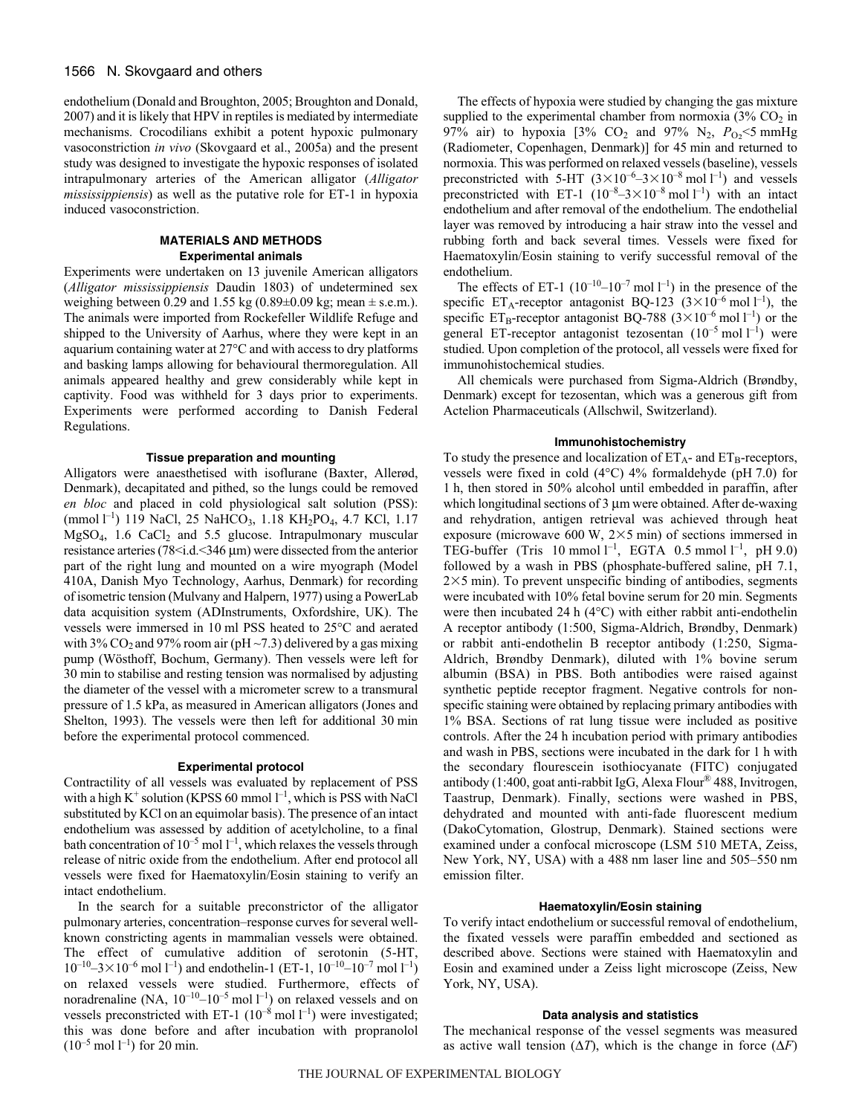endothelium (Donald and Broughton, 2005; Broughton and Donald, 2007) and it is likely that HPV in reptiles is mediated by intermediate mechanisms. Crocodilians exhibit a potent hypoxic pulmonary vasoconstriction *in vivo* (Skovgaard et al., 2005a) and the present study was designed to investigate the hypoxic responses of isolated intrapulmonary arteries of the American alligator (*Alligator mississippiensis*) as well as the putative role for ET-1 in hypoxia induced vasoconstriction.

## **MATERIALS AND METHODS Experimental animals**

Experiments were undertaken on 13 juvenile American alligators (*Alligator mississippiensis* Daudin 1803) of undetermined sex weighing between 0.29 and 1.55 kg (0.89 $\pm$ 0.09 kg; mean  $\pm$  s.e.m.). The animals were imported from Rockefeller Wildlife Refuge and shipped to the University of Aarhus, where they were kept in an aquarium containing water at 27°C and with access to dry platforms and basking lamps allowing for behavioural thermoregulation. All animals appeared healthy and grew considerably while kept in captivity. Food was withheld for 3 days prior to experiments. Experiments were performed according to Danish Federal Regulations.

## **Tissue preparation and mounting**

Alligators were anaesthetised with isoflurane (Baxter, Allerød, Denmark), decapitated and pithed, so the lungs could be removed *en bloc* and placed in cold physiological salt solution (PSS): (mmol 1<sup>-1</sup>) 119 NaCl, 25 NaHCO<sub>3</sub>, 1.18 KH<sub>2</sub>PO<sub>4</sub>, 4.7 KCl, 1.17  $MgSO<sub>4</sub>$ , 1.6 CaCl<sub>2</sub> and 5.5 glucose. Intrapulmonary muscular resistance arteries (78 < i.d. < 346 μm) were dissected from the anterior part of the right lung and mounted on a wire myograph (Model 410A, Danish Myo Technology, Aarhus, Denmark) for recording of isometric tension (Mulvany and Halpern, 1977) using a PowerLab data acquisition system (ADInstruments, Oxfordshire, UK). The vessels were immersed in 10 ml PSS heated to 25°C and aerated with 3% CO<sub>2</sub> and 97% room air (pH  $\sim$  7.3) delivered by a gas mixing pump (Wösthoff, Bochum, Germany). Then vessels were left for 30 min to stabilise and resting tension was normalised by adjusting the diameter of the vessel with a micrometer screw to a transmural pressure of 1.5 kPa, as measured in American alligators (Jones and Shelton, 1993). The vessels were then left for additional 30 min before the experimental protocol commenced.

## **Experimental protocol**

Contractility of all vessels was evaluated by replacement of PSS with a high  $K^+$  solution (KPSS 60 mmol  $l^{-1}$ , which is PSS with NaCl substituted by KCl on an equimolar basis). The presence of an intact endothelium was assessed by addition of acetylcholine, to a final bath concentration of  $10^{-5}$  mol  $l^{-1}$ , which relaxes the vessels through release of nitric oxide from the endothelium. After end protocol all vessels were fixed for Haematoxylin/Eosin staining to verify an intact endothelium.

In the search for a suitable preconstrictor of the alligator pulmonary arteries, concentration–response curves for several wellknown constricting agents in mammalian vessels were obtained. The effect of cumulative addition of serotonin (5-HT,  $10^{-10} - 3 \times 10^{-6}$  mol  $1^{-1}$ ) and endothelin-1 (ET-1,  $10^{-10} - 10^{-7}$  mol  $1^{-1}$ ) on relaxed vessels were studied. Furthermore, effects of noradrenaline (NA,  $10^{-10}$ – $10^{-5}$  mol  $1^{-1}$ ) on relaxed vessels and on vessels preconstricted with ET-1  $(10^{-8} \text{ mol } l^{-1})$  were investigated; this was done before and after incubation with propranolol  $(10^{-5} \text{ mol } l^{-1})$  for 20 min.

The effects of hypoxia were studied by changing the gas mixture supplied to the experimental chamber from normoxia  $(3\%$  CO<sub>2</sub> in 97% air) to hypoxia  $[3\%$  CO<sub>2</sub> and 97% N<sub>2</sub>,  $P_{O_2}$  <5 mmHg (Radiometer, Copenhagen, Denmark)] for 45 min and returned to normoxia. This was performed on relaxed vessels (baseline), vessels preconstricted with 5-HT  $(3 \times 10^{-6} - 3 \times 10^{-8} \text{ mol } l^{-1})$  and vessels preconstricted with ET-1  $(10^{-8}-3\times10^{-8} \text{ mol } l^{-1})$  with an intact endothelium and after removal of the endothelium. The endothelial layer was removed by introducing a hair straw into the vessel and rubbing forth and back several times. Vessels were fixed for Haematoxylin/Eosin staining to verify successful removal of the endothelium.

The effects of ET-1  $(10^{-10} - 10^{-7} \text{ mol } l^{-1})$  in the presence of the specific ET<sub>A</sub>-receptor antagonist BQ-123  $(3 \times 10^{-6} \text{ mol } l^{-1})$ , the specific ET<sub>B</sub>-receptor antagonist BQ-788 ( $3\times10^{-6}$  mol l<sup>-1</sup>) or the general ET-receptor antagonist tezosentan  $(10^{-5} \text{ mol } l^{-1})$  were studied. Upon completion of the protocol, all vessels were fixed for immunohistochemical studies.

All chemicals were purchased from Sigma-Aldrich (Brøndby, Denmark) except for tezosentan, which was a generous gift from Actelion Pharmaceuticals (Allschwil, Switzerland).

## **Immunohistochemistry**

To study the presence and localization of  $ET_A$ - and  $ET_B$ -receptors, vessels were fixed in cold (4 $\degree$ C) 4% formaldehyde (pH 7.0) for 1 h, then stored in 50% alcohol until embedded in paraffin, after which longitudinal sections of  $3 \mu m$  were obtained. After de-waxing and rehydration, antigen retrieval was achieved through heat exposure (microwave 600 W,  $2\times 5$  min) of sections immersed in TEG-buffer (Tris 10 mmol  $l^{-1}$ , EGTA 0.5 mmol  $l^{-1}$ , pH 9.0) followed by a wash in PBS (phosphate-buffered saline, pH 7.1,  $2\times5$  min). To prevent unspecific binding of antibodies, segments were incubated with 10% fetal bovine serum for 20 min. Segments were then incubated 24 h  $(4^{\circ}C)$  with either rabbit anti-endothelin A receptor antibody (1:500, Sigma-Aldrich, Brøndby, Denmark) or rabbit anti-endothelin B receptor antibody (1:250, Sigma-Aldrich, Brøndby Denmark), diluted with 1% bovine serum albumin (BSA) in PBS. Both antibodies were raised against synthetic peptide receptor fragment. Negative controls for nonspecific staining were obtained by replacing primary antibodies with 1% BSA. Sections of rat lung tissue were included as positive controls. After the 24 h incubation period with primary antibodies and wash in PBS, sections were incubated in the dark for 1 h with the secondary flourescein isothiocyanate (FITC) conjugated antibody (1:400, goat anti-rabbit IgG, Alexa Flour® 488, Invitrogen, Taastrup, Denmark). Finally, sections were washed in PBS, dehydrated and mounted with anti-fade fluorescent medium (DakoCytomation, Glostrup, Denmark). Stained sections were examined under a confocal microscope (LSM 510 META, Zeiss, New York, NY, USA) with a 488 nm laser line and 505-550 nm emission filter.

# **Haematoxylin/Eosin staining**

To verify intact endothelium or successful removal of endothelium, the fixated vessels were paraffin embedded and sectioned as described above. Sections were stained with Haematoxylin and Eosin and examined under a Zeiss light microscope (Zeiss, New York, NY, USA).

## **Data analysis and statistics**

The mechanical response of the vessel segments was measured as active wall tension  $(\Delta T)$ , which is the change in force  $(\Delta F)$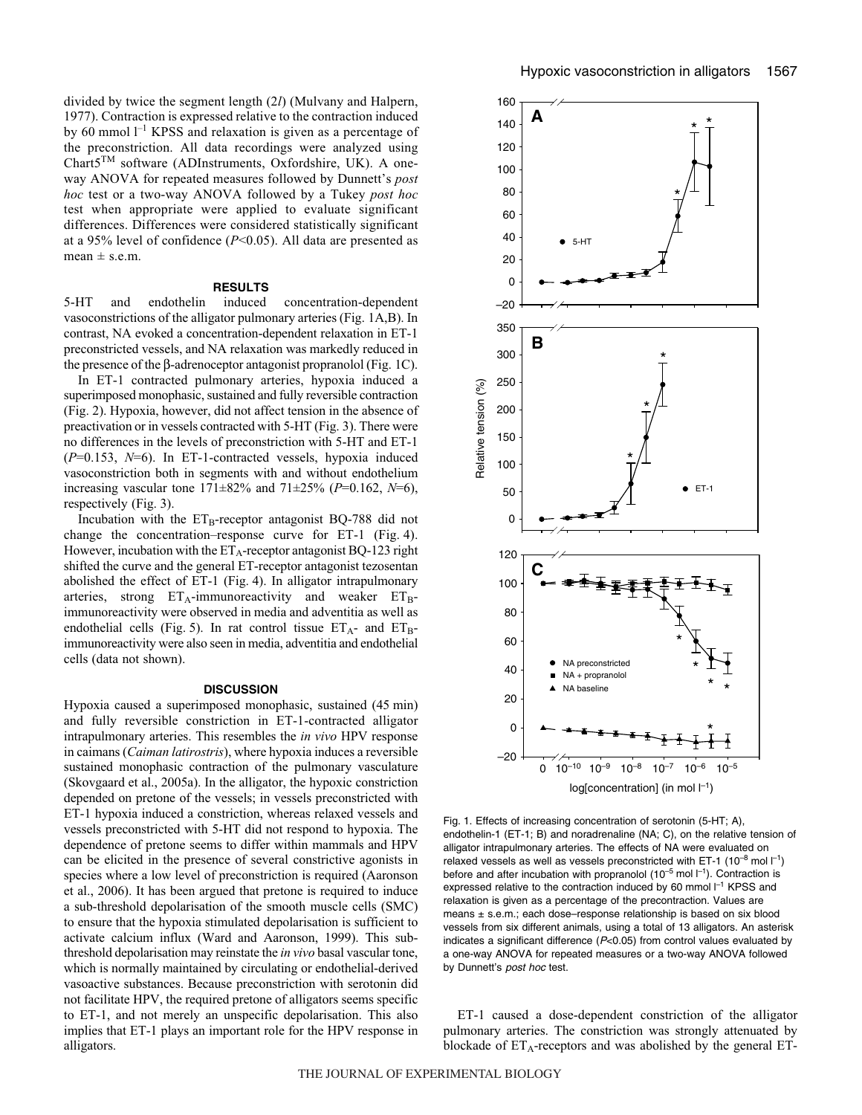divided by twice the segment length (2*l*) (Mulvany and Halpern, 1977). Contraction is expressed relative to the contraction induced by 60 mmol  $l^{-1}$  KPSS and relaxation is given as a percentage of the preconstriction. All data recordings were analyzed using Chart5TM software (ADInstruments, Oxfordshire, UK). A oneway ANOVA for repeated measures followed by Dunnett's *post hoc* test or a two-way ANOVA followed by a Tukey *post hoc* test when appropriate were applied to evaluate significant differences. Differences were considered statistically significant at a 95% level of confidence (*P*<0.05). All data are presented as  $mean \pm s.e.m.$ 

#### **RESULTS**

5-HT and endothelin induced concentration-dependent vasoconstrictions of the alligator pulmonary arteries (Fig. 1A,B). In contrast, NA evoked a concentration-dependent relaxation in ET-1 preconstricted vessels, and NA relaxation was markedly reduced in the presence of the  $\beta$ -adrenoceptor antagonist propranolol (Fig. 1C).

In ET-1 contracted pulmonary arteries, hypoxia induced a superimposed monophasic, sustained and fully reversible contraction (Fig. 2). Hypoxia, however, did not affect tension in the absence of preactivation or in vessels contracted with 5-HT (Fig. 3). There were no differences in the levels of preconstriction with 5-HT and ET-1 (*P*=0.153, *N*=6). In ET-1-contracted vessels, hypoxia induced vasoconstriction both in segments with and without endothelium increasing vascular tone 171±82% and 71±25% (*P*=0.162, *N*=6), respectively (Fig. 3).

Incubation with the  $ET_B$ -receptor antagonist BQ-788 did not change the concentration–response curve for ET-1 (Fig. 4). However, incubation with the  $ET_A$ -receptor antagonist BQ-123 right shifted the curve and the general ET-receptor antagonist tezosentan abolished the effect of ET-1 (Fig. 4). In alligator intrapulmonary arteries, strong  $ET_A$ -immunoreactivity and weaker  $ET_B$ immunoreactivity were observed in media and adventitia as well as endothelial cells (Fig. 5). In rat control tissue  $ET_{A}$ - and  $ET_{B}$ immunoreactivity were also seen in media, adventitia and endothelial cells (data not shown).

#### **DISCUSSION**

Hypoxia caused a superimposed monophasic, sustained (45 min) and fully reversible constriction in ET-1-contracted alligator intrapulmonary arteries. This resembles the *in vivo* HPV response in caimans (*Caiman latirostris*), where hypoxia induces a reversible sustained monophasic contraction of the pulmonary vasculature (Skovgaard et al., 2005a). In the alligator, the hypoxic constriction depended on pretone of the vessels; in vessels preconstricted with ET-1 hypoxia induced a constriction, whereas relaxed vessels and vessels preconstricted with 5-HT did not respond to hypoxia. The dependence of pretone seems to differ within mammals and HPV can be elicited in the presence of several constrictive agonists in species where a low level of preconstriction is required (Aaronson et al., 2006). It has been argued that pretone is required to induce a sub-threshold depolarisation of the smooth muscle cells (SMC) to ensure that the hypoxia stimulated depolarisation is sufficient to activate calcium influx (Ward and Aaronson, 1999). This subthreshold depolarisation may reinstate the *in vivo* basal vascular tone, which is normally maintained by circulating or endothelial-derived vasoactive substances. Because preconstriction with serotonin did not facilitate HPV, the required pretone of alligators seems specific to ET-1, and not merely an unspecific depolarisation. This also implies that ET-1 plays an important role for the HPV response in alligators.



Fig. 1. Effects of increasing concentration of serotonin (5-HT; A), endothelin-1 (ET-1; B) and noradrenaline (NA; C), on the relative tension of alligator intrapulmonary arteries. The effects of NA were evaluated on relaxed vessels as well as vessels preconstricted with ET-1 (10<sup>-8</sup> mol  $\mathsf{l}^{-1}$ ) before and after incubation with propranolol (10<sup>-5</sup> mol  $l^{-1}$ ). Contraction is expressed relative to the contraction induced by 60 mmol  $I^{-1}$  KPSS and relaxation is given as a percentage of the precontraction. Values are means ± s.e.m.; each dose–response relationship is based on six blood vessels from six different animals, using a total of 13 alligators. An asterisk indicates a significant difference (P<0.05) from control values evaluated by a one-way ANOVA for repeated measures or a two-way ANOVA followed by Dunnett's post hoc test.

ET-1 caused a dose-dependent constriction of the alligator pulmonary arteries. The constriction was strongly attenuated by blockade of  $ET_A$ -receptors and was abolished by the general ET-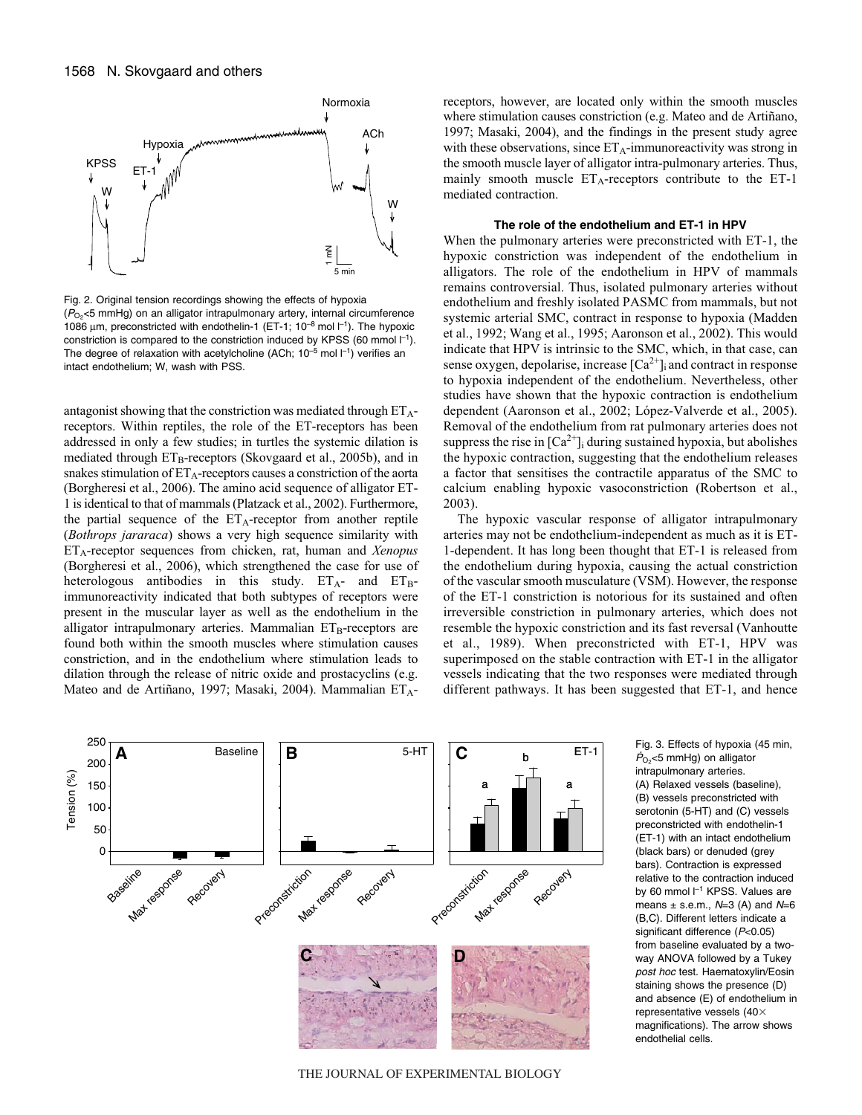

Fig. 2. Original tension recordings showing the effects of hypoxia  $(P<sub>O2</sub> < 5$  mmHg) on an alligator intrapulmonary artery, internal circumference 1086  $\mu$ m, preconstricted with endothelin-1 (ET-1; 10<sup>-8</sup> mol  $\vert$ <sup>-1</sup>). The hypoxic constriction is compared to the constriction induced by KPSS (60 mmol  $I^{-1}$ ). The degree of relaxation with acetylcholine (ACh;  $10^{-5}$  mol  $l^{-1}$ ) verifies an intact endothelium; W, wash with PSS.

antagonist showing that the constriction was mediated through  $ET_A$ receptors. Within reptiles, the role of the ET-receptors has been addressed in only a few studies; in turtles the systemic dilation is mediated through  $ET_B$ -receptors (Skovgaard et al., 2005b), and in snakes stimulation of  $ET_A$ -receptors causes a constriction of the aorta (Borgheresi et al., 2006). The amino acid sequence of alligator ET-1 is identical to that of mammals (Platzack et al., 2002). Furthermore, the partial sequence of the  $ET_A$ -receptor from another reptile (*Bothrops jararaca*) shows a very high sequence similarity with ETA-receptor sequences from chicken, rat, human and *Xenopus* (Borgheresi et al., 2006), which strengthened the case for use of heterologous antibodies in this study.  $ET_A$ - and  $ET_B$ immunoreactivity indicated that both subtypes of receptors were present in the muscular layer as well as the endothelium in the alligator intrapulmonary arteries. Mammalian  $ET_B$ -receptors are found both within the smooth muscles where stimulation causes constriction, and in the endothelium where stimulation leads to dilation through the release of nitric oxide and prostacyclins (e.g. Mateo and de Artiñano, 1997; Masaki, 2004). Mammalian ETA- receptors, however, are located only within the smooth muscles where stimulation causes constriction (e.g. Mateo and de Artiñano, 1997; Masaki, 2004), and the findings in the present study agree with these observations, since  $ET_A$ -immunoreactivity was strong in the smooth muscle layer of alligator intra-pulmonary arteries. Thus, mainly smooth muscle  $ET_A$ -receptors contribute to the ET-1 mediated contraction.

#### **The role of the endothelium and ET-1 in HPV**

When the pulmonary arteries were preconstricted with ET-1, the hypoxic constriction was independent of the endothelium in alligators. The role of the endothelium in HPV of mammals remains controversial. Thus, isolated pulmonary arteries without endothelium and freshly isolated PASMC from mammals, but not systemic arterial SMC, contract in response to hypoxia (Madden et al., 1992; Wang et al., 1995; Aaronson et al., 2002). This would indicate that HPV is intrinsic to the SMC, which, in that case, can sense oxygen, depolarise, increase  $[Ca^{2+}]$  and contract in response to hypoxia independent of the endothelium. Nevertheless, other studies have shown that the hypoxic contraction is endothelium dependent (Aaronson et al., 2002; López-Valverde et al., 2005). Removal of the endothelium from rat pulmonary arteries does not suppress the rise in  $[Ca^{2+}]\text{i}$  during sustained hypoxia, but abolishes the hypoxic contraction, suggesting that the endothelium releases a factor that sensitises the contractile apparatus of the SMC to calcium enabling hypoxic vasoconstriction (Robertson et al., 2003).

The hypoxic vascular response of alligator intrapulmonary arteries may not be endothelium-independent as much as it is ET-1-dependent. It has long been thought that ET-1 is released from the endothelium during hypoxia, causing the actual constriction of the vascular smooth musculature (VSM). However, the response of the ET-1 constriction is notorious for its sustained and often irreversible constriction in pulmonary arteries, which does not resemble the hypoxic constriction and its fast reversal (Vanhoutte et al., 1989). When preconstricted with ET-1, HPV was superimposed on the stable contraction with ET-1 in the alligator vessels indicating that the two responses were mediated through different pathways. It has been suggested that ET-1, and hence



 $\dot{P}_{\text{O}_2}$ <5 mmHg) on alligator intrapulmonary arteries. (A) Relaxed vessels (baseline), (B) vessels preconstricted with serotonin (5-HT) and (C) vessels preconstricted with endothelin-1 (ET-1) with an intact endothelium (black bars) or denuded (grey bars). Contraction is expressed relative to the contraction induced by 60 mmol l<sup>-1</sup> KPSS. Values are means  $\pm$  s.e.m.,  $N=3$  (A) and  $N=6$ (B,C). Different letters indicate a significant difference (P<0.05) from baseline evaluated by a twoway ANOVA followed by a Tukey post hoc test. Haematoxylin/Eosin staining shows the presence (D) and absence (E) of endothelium in representative vessels (40 $\times$ magnifications). The arrow shows endothelial cells.

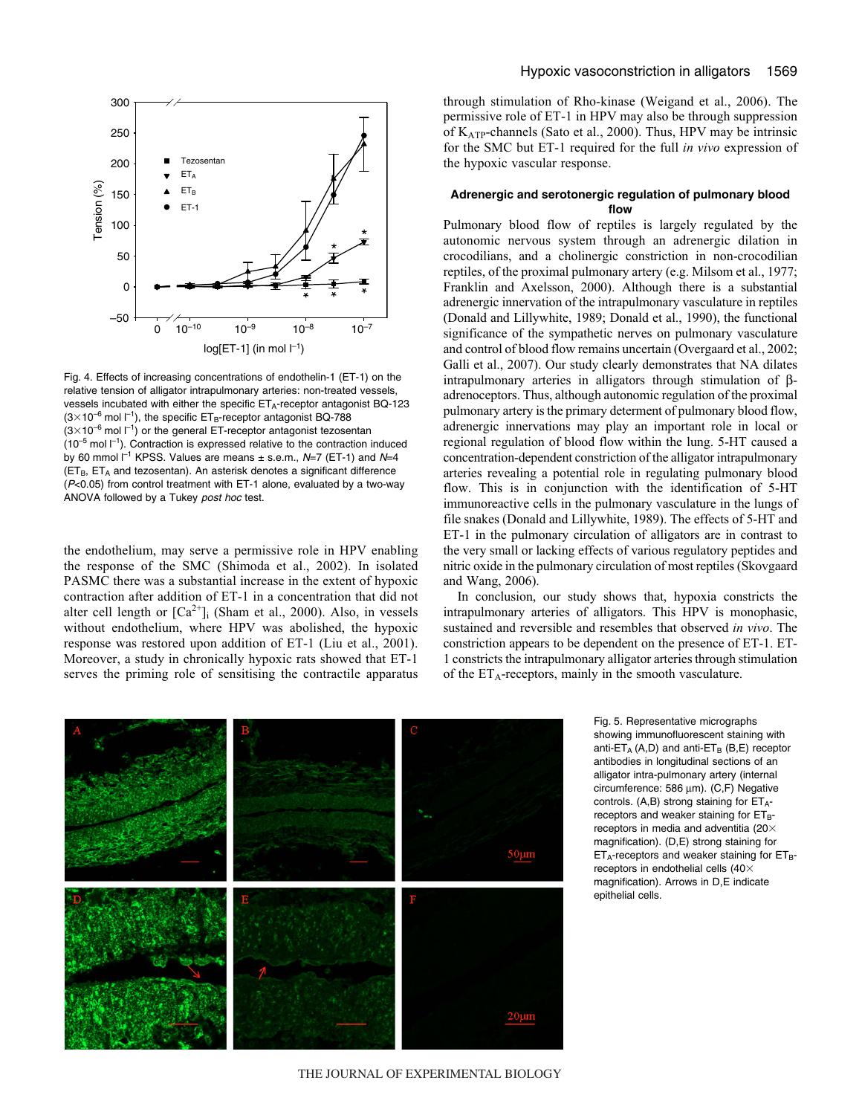

Fig. 4. Effects of increasing concentrations of endothelin-1 (ET-1) on the relative tension of alligator intrapulmonary arteries: non-treated vessels, vessels incubated with either the specific ET<sub>A</sub>-receptor antagonist BQ-123  $(3\times10^{-6}$  mol  $l^{-1}$ ), the specific ET<sub>B</sub>-receptor antagonist BQ-788  $(3\times10^{-6}$  mol  $1^{-1})$  or the general ET-receptor antagonist tezosentan  $(10^{-5}$  mol  $I^{-1}$ ). Contraction is expressed relative to the contraction induced by 60 mmol  $l^{-1}$  KPSS. Values are means  $\pm$  s.e.m., N=7 (ET-1) and N=4  $(ET_B, ET_A)$  and tezosentan). An asterisk denotes a significant difference (P<0.05) from control treatment with ET-1 alone, evaluated by a two-way ANOVA followed by a Tukey post hoc test.

the endothelium, may serve a permissive role in HPV enabling the response of the SMC (Shimoda et al., 2002). In isolated PASMC there was a substantial increase in the extent of hypoxic contraction after addition of ET-1 in a concentration that did not alter cell length or  $[Ca^{2+}]$ <sub>i</sub> (Sham et al., 2000). Also, in vessels without endothelium, where HPV was abolished, the hypoxic response was restored upon addition of ET-1 (Liu et al., 2001). Moreover, a study in chronically hypoxic rats showed that ET-1 serves the priming role of sensitising the contractile apparatus through stimulation of Rho-kinase (Weigand et al., 2006). The permissive role of ET-1 in HPV may also be through suppression of KATP-channels (Sato et al., 2000). Thus, HPV may be intrinsic for the SMC but ET-1 required for the full *in vivo* expression of the hypoxic vascular response.

# **Adrenergic and serotonergic regulation of pulmonary blood flow**

Pulmonary blood flow of reptiles is largely regulated by the autonomic nervous system through an adrenergic dilation in crocodilians, and a cholinergic constriction in non-crocodilian reptiles, of the proximal pulmonary artery (e.g. Milsom et al., 1977; Franklin and Axelsson, 2000). Although there is a substantial adrenergic innervation of the intrapulmonary vasculature in reptiles (Donald and Lillywhite, 1989; Donald et al., 1990), the functional significance of the sympathetic nerves on pulmonary vasculature and control of blood flow remains uncertain (Overgaard et al., 2002; Galli et al., 2007). Our study clearly demonstrates that NA dilates intrapulmonary arteries in alligators through stimulation of βadrenoceptors. Thus, although autonomic regulation of the proximal pulmonary artery is the primary determent of pulmonary blood flow, adrenergic innervations may play an important role in local or regional regulation of blood flow within the lung. 5-HT caused a concentration-dependent constriction of the alligator intrapulmonary arteries revealing a potential role in regulating pulmonary blood flow. This is in conjunction with the identification of 5-HT immunoreactive cells in the pulmonary vasculature in the lungs of file snakes (Donald and Lillywhite, 1989). The effects of 5-HT and ET-1 in the pulmonary circulation of alligators are in contrast to the very small or lacking effects of various regulatory peptides and nitric oxide in the pulmonary circulation of most reptiles (Skovgaard and Wang, 2006).

In conclusion, our study shows that, hypoxia constricts the intrapulmonary arteries of alligators. This HPV is monophasic, sustained and reversible and resembles that observed *in vivo*. The constriction appears to be dependent on the presence of ET-1. ET-1 constricts the intrapulmonary alligator arteries through stimulation of the  $ET_A$ -receptors, mainly in the smooth vasculature.



Fig. 5. Representative micrographs showing immunofluorescent staining with anti- $ET_A$  (A,D) and anti- $ET_B$  (B,E) receptor antibodies in longitudinal sections of an alligator intra-pulmonary artery (internal circumference: 586 μm). (C,F) Negative controls. (A,B) strong staining for  $ET_{A}$ receptors and weaker staining for  $ET_B$ receptors in media and adventitia (20 $\times$ magnification). (D,E) strong staining for  $ET_A$ -receptors and weaker staining for  $ET_B$ receptors in endothelial cells (40 $\times$ magnification). Arrows in D,E indicate epithelial cells.

THE JOURNAL OF EXPERIMENTAL BIOLOGY